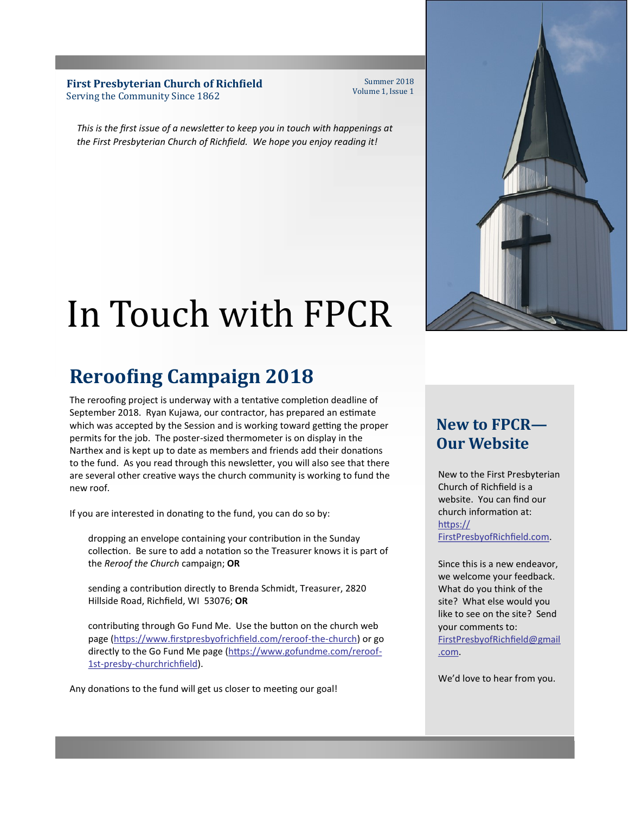**First Presbyterian Church of Richfield** Serving the Community Since 1862

Summer 2018 Volume 1, Issue 1

*This is the first issue of a newsletter to keep you in touch with happenings at the First Presbyterian Church of Richfield. We hope you enjoy reading it!*

# In Touch with FPCR

## **Reroofing Campaign 2018**

The reroofing project is underway with a tentative completion deadline of September 2018. Ryan Kujawa, our contractor, has prepared an estimate which was accepted by the Session and is working toward getting the proper permits for the job. The poster-sized thermometer is on display in the Narthex and is kept up to date as members and friends add their donations to the fund. As you read through this newsletter, you will also see that there are several other creative ways the church community is working to fund the new roof.

If you are interested in donating to the fund, you can do so by:

dropping an envelope containing your contribution in the Sunday collection. Be sure to add a notation so the Treasurer knows it is part of the *Reroof the Church* campaign; **OR**

sending a contribution directly to Brenda Schmidt, Treasurer, 2820 Hillside Road, Richfield, WI 53076; **OR**

contributing through Go Fund Me. Use the button on the church web page ([https://www.firstpresbyofrichfield.com/reroof](https://www.firstpresbyofrichfield.com/reroof-the-church)-the-church) or go directly to the Go Fund Me page [\(https://www.gofundme.com/reroof](https://www.gofundme.com/reroof-1st-presby-churchrichfield)-1st-presby-[churchrichfield\)](https://www.gofundme.com/reroof-1st-presby-churchrichfield).

Any donations to the fund will get us closer to meeting our goal!



## **New to FPCR— Our Website**

New to the First Presbyterian Church of Richfield is a website. You can find our church information at: [https://](https://FirstPresbyofRichfield.com) [FirstPresbyofRichfield.com.](https://FirstPresbyofRichfield.com)

Since this is a new endeavor, we welcome your feedback. What do you think of the site? What else would you like to see on the site? Send your comments to: [FirstPresbyofRichfield@gmail](mailto:FirstPresbyofRichfield@gmail.com) [.com.](mailto:FirstPresbyofRichfield@gmail.com)

We'd love to hear from you.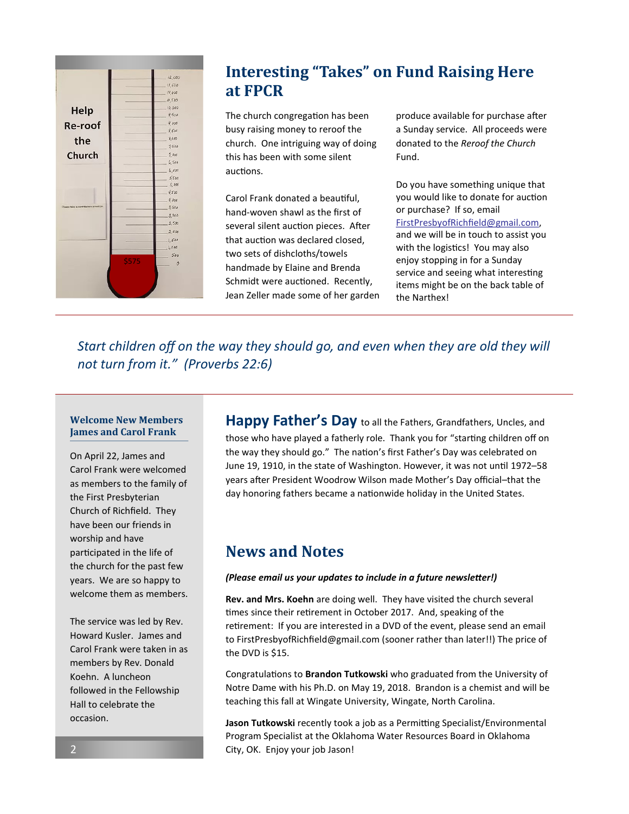|                                      |      | 12,000         |
|--------------------------------------|------|----------------|
| Help                                 |      | 11,500         |
|                                      |      | 11,000         |
|                                      |      | 10,500         |
|                                      |      | 10,000         |
|                                      |      | 9,500          |
| <b>Re-roof</b>                       |      | 9,000          |
|                                      |      | 8,500          |
| the                                  |      | 8,000          |
|                                      |      | 7,500          |
| Church                               |      | 7.000          |
| Please take a contribution envelope. |      | 6,500          |
|                                      |      | 6,000          |
|                                      |      | 5,500          |
|                                      |      | 5,000<br>4,500 |
|                                      |      | 4,000          |
|                                      |      | 3,500          |
|                                      |      | 3,000          |
|                                      |      | 2,500          |
|                                      |      | 2,000          |
|                                      |      |                |
|                                      |      | 1,500<br>1,000 |
|                                      |      | 500            |
|                                      | 5575 | $\mathcal{O}$  |
|                                      |      |                |
|                                      |      |                |
|                                      |      |                |
|                                      |      |                |

## **Interesting "Takes" on Fund Raising Here at FPCR**

The church congregation has been busy raising money to reroof the church. One intriguing way of doing this has been with some silent auctions.

Carol Frank donated a beautiful, hand-woven shawl as the first of several silent auction pieces. After that auction was declared closed, two sets of dishcloths/towels handmade by Elaine and Brenda Schmidt were auctioned. Recently, Jean Zeller made some of her garden produce available for purchase after a Sunday service. All proceeds were donated to the *Reroof the Church*  Fund.

Do you have something unique that you would like to donate for auction or purchase? If so, email [FirstPresbyofRichfield@gmail.com,](mailto:FirstPresbyofRichfield@gmail.com) and we will be in touch to assist you with the logistics! You may also enjoy stopping in for a Sunday service and seeing what interesting items might be on the back table of the Narthex!

*Start children off on the way they should go, and even when they are old they will not turn from it." (Proverbs 22:6)* 

#### **Welcome New Members James and Carol Frank**

On April 22, James and Carol Frank were welcomed as members to the family of the First Presbyterian Church of Richfield. They have been our friends in worship and have participated in the life of the church for the past few years. We are so happy to welcome them as members.

The service was led by Rev. Howard Kusler. James and Carol Frank were taken in as members by Rev. Donald Koehn. A luncheon followed in the Fellowship Hall to celebrate the occasion.

**Happy Father's Day** to all the Fathers, Grandfathers, Uncles, and those who have played a fatherly role. Thank you for "starting children off on the way they should go." The nation's first Father's Day was celebrated on June 19, 1910, in the state of Washington. However, it was not until 1972–58 years after President Woodrow Wilson made Mother's Day official–that the day honoring fathers became a nationwide holiday in the United States.

### **News and Notes**

#### *(Please email us your updates to include in a future newsletter!)*

**Rev. and Mrs. Koehn** are doing well. They have visited the church several times since their retirement in October 2017. And, speaking of the retirement: If you are interested in a DVD of the event, please send an email to FirstPresbyofRichfield@gmail.com (sooner rather than later!!) The price of the DVD is \$15.

Congratulations to **Brandon Tutkowski** who graduated from the University of Notre Dame with his Ph.D. on May 19, 2018. Brandon is a chemist and will be teaching this fall at Wingate University, Wingate, North Carolina.

**Jason Tutkowski** recently took a job as a Permitting Specialist/Environmental Program Specialist at the Oklahoma Water Resources Board in Oklahoma City, OK. Enjoy your job Jason!